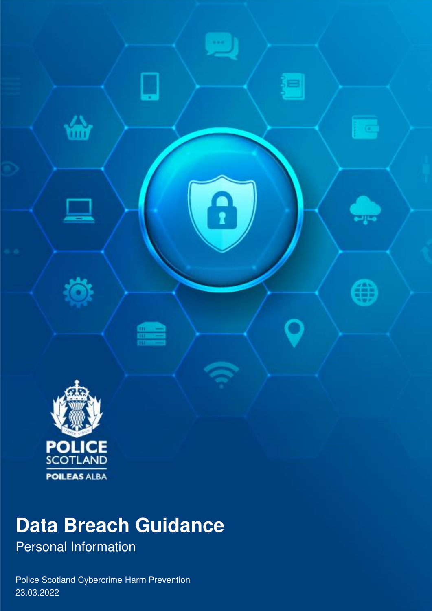

# **Data Breach Guidance**

Personal Information

Police Scotland Cybercrime Harm Prevention 23.03.2022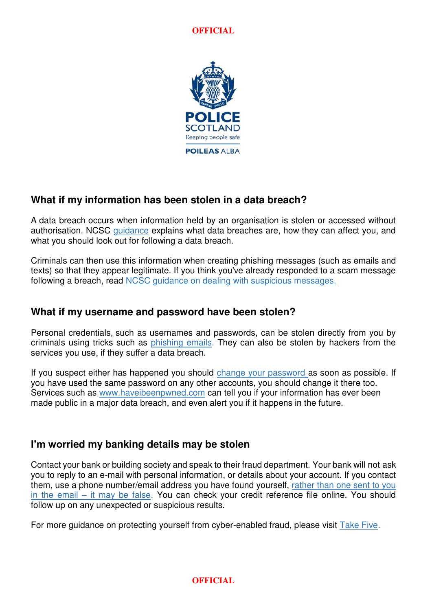**OFFICIAL**



#### **What if my information has been stolen in a data breach?**

A data breach occurs when information held by an organisation is stolen or accessed without authorisation. NCSC [guidance](https://www.ncsc.gov.uk/guidance/data-breaches) explains what data breaches are, how they can affect you, and what you should look out for following a data breach.

Criminals can then use this information when creating phishing messages (such as emails and texts) so that they appear legitimate. If you think you've already responded to a scam message following a breach, read **NCSC** guidance on dealing with suspicious messages.

#### **What if my username and password have been stolen?**

Personal credentials, such as usernames and passwords, can be stolen directly from you by criminals using tricks such as [phishing emails.](https://www.ncsc.gov.uk/guidance/suspicious-email-actions) They can also be stolen by hackers from the services you use, if they suffer a data breach.

If you suspect either has happened you should [change your password](https://www.cyberaware.gov.uk/passwords) as soon as possible. If you have used the same password on any other accounts, you should change it there too. Services such as [www.haveibeenpwned.com](http://www.haveibeenpwned.com/) can tell you if your information has ever been made public in a major data breach, and even alert you if it happens in the future.

#### **I'm worried my banking details may be stolen**

Contact your bank or building society and speak to their fraud department. Your bank will not ask you to reply to an e-mail with personal information, or details about your account. If you contact them, use a phone number/email address you have found yourself, [rather than one sent to you](https://www.ncsc.gov.uk/guidance/avoiding-phishing-attacks)  in the email – [it may be false.](https://www.ncsc.gov.uk/guidance/avoiding-phishing-attacks) You can check your credit reference file online. You should follow up on any unexpected or suspicious results.

For more guidance on protecting yourself from cyber-enabled fraud, please visit [Take Five.](https://takefive-stopfraud.org.uk/)

#### **OFFICIAL**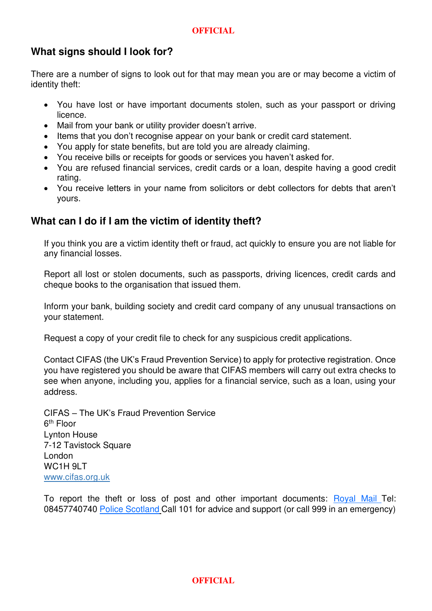#### **OFFICIAL**

#### **What signs should I look for?**

There are a number of signs to look out for that may mean you are or may become a victim of identity theft:

- You have lost or have important documents stolen, such as your passport or driving licence.
- Mail from your bank or utility provider doesn't arrive.
- Items that you don't recognise appear on your bank or credit card statement.
- You apply for state benefits, but are told you are already claiming.
- You receive bills or receipts for goods or services you haven't asked for.
- You are refused financial services, credit cards or a loan, despite having a good credit rating.
- You receive letters in your name from solicitors or debt collectors for debts that aren't yours.

#### **What can I do if I am the victim of identity theft?**

If you think you are a victim identity theft or fraud, act quickly to ensure you are not liable for any financial losses.

Report all lost or stolen documents, such as passports, driving licences, credit cards and cheque books to the organisation that issued them.

Inform your bank, building society and credit card company of any unusual transactions on your statement.

Request a copy of your credit file to check for any suspicious credit applications.

Contact CIFAS (the UK's Fraud Prevention Service) to apply for protective registration. Once you have registered you should be aware that CIFAS members will carry out extra checks to see when anyone, including you, applies for a financial service, such as a loan, using your address.

CIFAS – The UK's Fraud Prevention Service 6<sup>th</sup> Floor Lynton House 7-12 Tavistock Square London WC<sub>1</sub>H<sub>9I</sub>T [www.cifas.org.uk](http://www.cifas.org.uk/)

To report the theft or loss of post and other important documents: [Royal Mail](http://www.royalmail.com/) Tel: 08457740740 [Police Scotland](http://www.scotland.police.uk/) Call 101 for advice and support (or call 999 in an emergency)